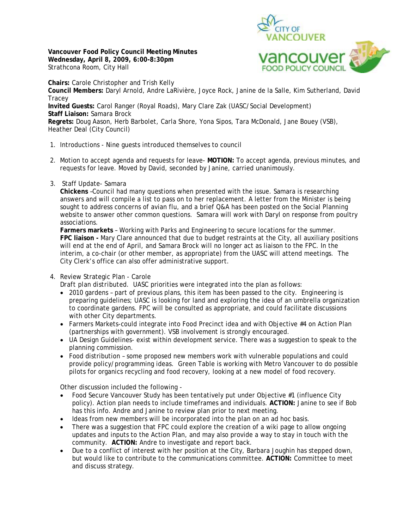**Vancouver Food Policy Council Meeting Minutes Wednesday, April 8, 2009, 6:00-8:30pm**  Strathcona Room, City Hall



**Chairs:** Carole Christopher and Trish Kelly **Council Members:** Daryl Arnold, Andre LaRivière, Joyce Rock, Janine de la Salle, Kim Sutherland, David **Tracey Invited Guests:** Carol Ranger (Royal Roads), Mary Clare Zak (UASC/Social Development) **Staff Liaison:** Samara Brock **Regrets:** Doug Aason, Herb Barbolet, Carla Shore, Yona Sipos, Tara McDonald, Jane Bouey (VSB), Heather Deal (City Council)

- 1. Introductions Nine guests introduced themselves to council
- 2. Motion to accept agenda and requests for leave- **MOTION:** To accept agenda, previous minutes, and requests for leave. Moved by David, seconded by Janine, carried unanimously.
- 3. Staff Update- Samara

**Chickens** –Council had many questions when presented with the issue. Samara is researching answers and will compile a list to pass on to her replacement. A letter from the Minister is being sought to address concerns of avian flu, and a brief Q&A has been posted on the Social Planning website to answer other common questions. Samara will work with Daryl on response from poultry associations.

**Farmers markets** – Working with Parks and Engineering to secure locations for the summer. **FPC liaison -** Mary Clare announced that due to budget restraints at the City, all auxiliary positions will end at the end of April, and Samara Brock will no longer act as liaison to the FPC. In the interim, a co-chair (or other member, as appropriate) from the UASC will attend meetings. The City Clerk's office can also offer administrative support.

# 4. Review Strategic Plan - Carole

*Draft plan distributed*. UASC priorities were integrated into the plan as follows:

- 2010 gardens part of previous plans, this item has been passed to the city. Engineering is preparing guidelines; UASC is looking for land and exploring the idea of an umbrella organization to coordinate gardens. FPC will be consulted as appropriate, and could facilitate discussions with other City departments.
- Farmers Markets-could integrate into Food Precinct idea and with Objective #4 on Action Plan (partnerships with government). VSB involvement is strongly encouraged.
- UA Design Guidelines- exist within development service. There was a suggestion to speak to the planning commission.
- Food distribution some proposed new members work with vulnerable populations and could provide policy/programming ideas. Green Table is working with Metro Vancouver to do possible pilots for organics recycling and food recovery, looking at a new model of food recovery.

Other discussion included the following -

- Food Secure Vancouver Study has been tentatively put under Objective #1 (influence City policy). Action plan needs to include timeframes and individuals. **ACTION:** Janine to see if Bob has this info. Andre and Janine to review plan prior to next meeting.
- Ideas from new members will be incorporated into the plan on an *ad hoc* basis.
- There was a suggestion that FPC could explore the creation of a wiki page to allow ongoing updates and inputs to the Action Plan, and may also provide a way to stay in touch with the community. **ACTION:** Andre to investigate and report back.
- Due to a conflict of interest with her position at the City, Barbara Joughin has stepped down, but would like to contribute to the communications committee. **ACTION:** Committee to meet and discuss strategy.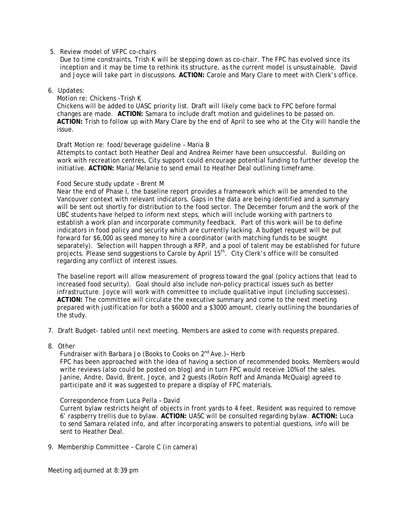5. Review model of VFPC co-chairs

Due to time constraints, Trish K will be stepping down as co-chair. The FPC has evolved since its inception and it may be time to rethink its structure, as the current model is unsustainable. David and Joyce will take part in discussions. **ACTION:** Carole and Mary Clare to meet with Clerk's office.

## 6. Updates:

#### Motion re: Chickens -Trish K

Chickens will be added to UASC priority list. Draft will likely come back to FPC before formal changes are made. **ACTION:** Samara to include draft motion and guidelines to be passed on. **ACTION:** Trish to follow up with Mary Clare by the end of April to see who at the City will handle the issue.

#### Draft Motion re: food/beverage guideline – Maria B

Attempts to contact both Heather Deal and Andrea Reimer have been unsuccessful. Building on work with recreation centres, City support could encourage potential funding to further develop the initiative. **ACTION:** Maria/Melanie to send email to Heather Deal outlining timeframe.

### Food Secure study update – Brent M

Near the end of Phase I, the baseline report provides a framework which will be amended to the Vancouver context with relevant indicators. Gaps in the data are being identified and a summary will be sent out shortly for distribution to the food sector. The December forum and the work of the UBC students have helped to inform next steps, which will include working with partners to establish a work plan and incorporate community feedback. Part of this work will be to define indicators in food policy and security which are currently lacking. A budget request will be put forward for \$6,000 as seed money to hire a coordinator (with matching funds to be sought separately). Selection will happen through a RFP, and a pool of talent may be established for future projects. Please send suggestions to Carole by April 15<sup>th</sup>. City Clerk's office will be consulted regarding any conflict of interest issues.

The baseline report will allow measurement of progress toward the goal (policy actions that lead to increased food security). Goal should also include non-policy practical issues such as better infrastructure. Joyce will work with committee to include qualitative input (including successes). **ACTION:** The committee will circulate the executive summary and come to the next meeting prepared with justification for both a \$6000 and a \$3000 amount, clearly outlining the boundaries of the study.

- 7. Draft Budget- tabled until next meeting. Members are asked to come with requests prepared.
- 8. Other

Fundraiser with Barbara Jo (Books to Cooks on 2<sup>nd</sup> Ave.) - Herb

FPC has been approached with the idea of having a section of recommended books. Members would write reviews (also could be posted on blog) and in turn FPC would receive 10% of the sales. Janine, Andre, David, Brent, Joyce, and 2 guests (Robin Roff and Amanda McQuaig) agreed to participate and it was suggested to prepare a display of FPC materials.

#### Correspondence from Luca Pella – David

Current bylaw restricts height of objects in front yards to 4 feet. Resident was required to remove 6' raspberry trellis due to bylaw. **ACTION:** UASC will be consulted regarding bylaw. **ACTION:** Luca to send Samara related info, and after incorporating answers to potential questions, info will be sent to Heather Deal.

9. Membership Committee – Carole C (*in camera*)

Meeting adjourned at 8:39 pm